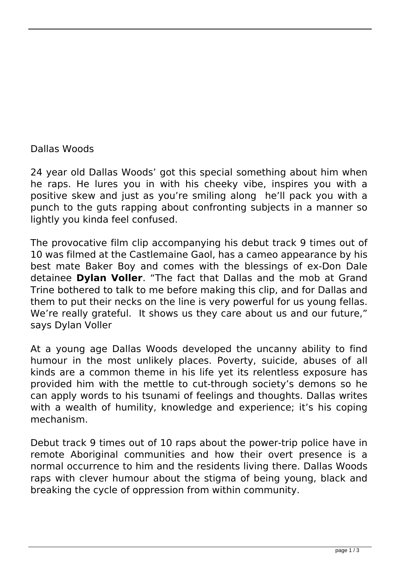## Dallas Woods

24 year old Dallas Woods' got this special something about him when he raps. He lures you in with his cheeky vibe, inspires you with a positive skew and just as you're smiling along he'll pack you with a punch to the guts rapping about confronting subjects in a manner so lightly you kinda feel confused.

The provocative film clip accompanying his debut track 9 times out of 10 was filmed at the Castlemaine Gaol, has a cameo appearance by his best mate Baker Boy and comes with the blessings of ex-Don Dale detainee **Dylan Voller**. "The fact that Dallas and the mob at Grand Trine bothered to talk to me before making this clip, and for Dallas and them to put their necks on the line is very powerful for us young fellas. We're really grateful. It shows us they care about us and our future," says Dylan Voller

At a young age Dallas Woods developed the uncanny ability to find humour in the most unlikely places. Poverty, suicide, abuses of all kinds are a common theme in his life yet its relentless exposure has provided him with the mettle to cut-through society's demons so he can apply words to his tsunami of feelings and thoughts. Dallas writes with a wealth of humility, knowledge and experience; it's his coping mechanism.

Debut track 9 times out of 10 raps about the power-trip police have in remote Aboriginal communities and how their overt presence is a normal occurrence to him and the residents living there. Dallas Woods raps with clever humour about the stigma of being young, black and breaking the cycle of oppression from within community.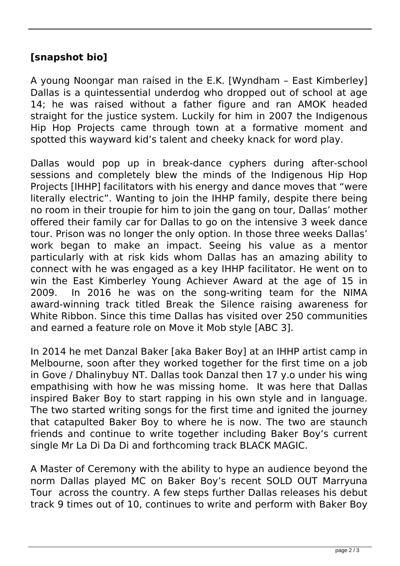## **[snapshot bio]**

A young Noongar man raised in the E.K. [Wyndham – East Kimberley] Dallas is a quintessential underdog who dropped out of school at age 14; he was raised without a father figure and ran AMOK headed straight for the justice system. Luckily for him in 2007 the Indigenous Hip Hop Projects came through town at a formative moment and spotted this wayward kid's talent and cheeky knack for word play.

Dallas would pop up in break-dance cyphers during after-school sessions and completely blew the minds of the Indigenous Hip Hop Projects [IHHP] facilitators with his energy and dance moves that "were literally electric". Wanting to join the IHHP family, despite there being no room in their troupie for him to join the gang on tour, Dallas' mother offered their family car for Dallas to go on the intensive 3 week dance tour. Prison was no longer the only option. In those three weeks Dallas' work began to make an impact. Seeing his value as a mentor particularly with at risk kids whom Dallas has an amazing ability to connect with he was engaged as a key IHHP facilitator. He went on to win the East Kimberley Young Achiever Award at the age of 15 in 2009. In 2016 he was on the song-writing team for the NIMA award-winning track titled Break the Silence raising awareness for White Ribbon. Since this time Dallas has visited over 250 communities and earned a feature role on Move it Mob style [ABC 3].

In 2014 he met Danzal Baker [aka Baker Boy] at an IHHP artist camp in Melbourne, soon after they worked together for the first time on a job in Gove / Dhalinybuy NT. Dallas took Danzal then 17 y.o under his wing empathising with how he was missing home. It was here that Dallas inspired Baker Boy to start rapping in his own style and in language. The two started writing songs for the first time and ignited the journey that catapulted Baker Boy to where he is now. The two are staunch friends and continue to write together including Baker Boy's current single Mr La Di Da Di and forthcoming track BLACK MAGIC.

A Master of Ceremony with the ability to hype an audience beyond the norm Dallas played MC on Baker Boy's recent SOLD OUT Marryuna Tour across the country. A few steps further Dallas releases his debut track 9 times out of 10, continues to write and perform with Baker Boy